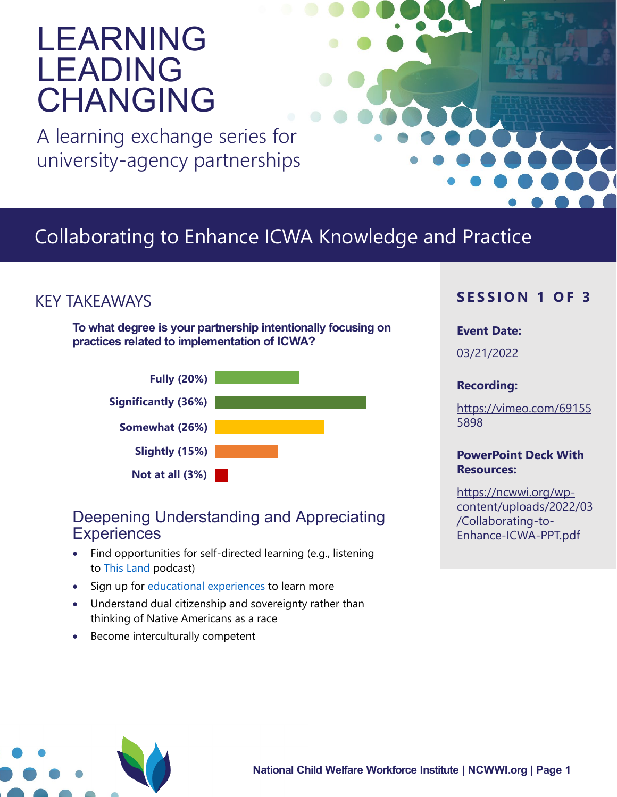# LEARNING LEADING CHANGING

A learning exchange series for university-agency partnerships

## Collaborating to Enhance ICWA Knowledge and Practice

## KEY TAKEAWAYS

**To what degree is your partnership intentionally focusing on practices related to implementation of ICWA?**



### Deepening Understanding and Appreciating **Experiences**

- Find opportunities for self-directed learning (e.g., listening to [This Land](https://crooked.com/podcast-series/this-land/) podcast)
- Sign up for [educational experiences](https://tribalinformationexchange.org/index.php/icwa/) to learn more
- Understand dual citizenship and sovereignty rather than thinking of Native Americans as a race
- Become interculturally competent

#### **S E SSION 1 OF 3**

#### **Event Date:**

03/21/2022

#### **Recording:**

[https://vimeo.com/69155](https://vimeo.com/691555898) [5898](https://vimeo.com/691555898) 

#### **PowerPoint Deck With Resources:**

[https://ncwwi.org/wp](https://ncwwi.org/wp-content/uploads/2022/03/Collaborating-to-Enhance-ICWA-PPT.pdf)[content/uploads/2022/03](https://ncwwi.org/wp-content/uploads/2022/03/Collaborating-to-Enhance-ICWA-PPT.pdf) [/Collaborating-to-](https://ncwwi.org/wp-content/uploads/2022/03/Collaborating-to-Enhance-ICWA-PPT.pdf)[Enhance-ICWA-PPT.pdf](https://ncwwi.org/wp-content/uploads/2022/03/Collaborating-to-Enhance-ICWA-PPT.pdf)